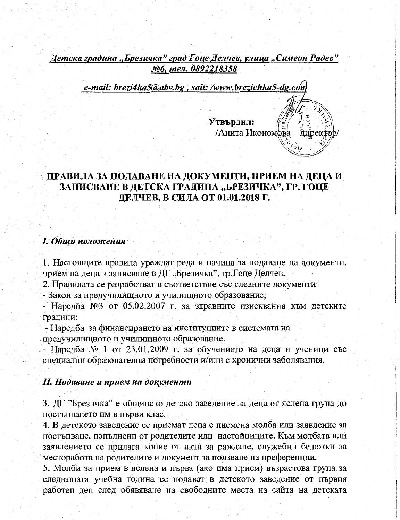Детска градина "Брезичка" град Гоце Делчев, улица "Симеон Радев" №6, тел. 0892218358

e-mail: brezi4ka5@abv.bg, sait: /www.brezichka5-dg.com

Утвърдил: /Анита Икономова - дире

## ПРАВИЛА ЗА ПОДАВАНЕ НА ДОКУМЕНТИ, ПРИЕМ НА ДЕЦА И ЗАПИСВАНЕ В ДЕТСКА ГРАДИНА "БРЕЗИЧКА", ГР. ГОЦЕ ДЕЛЧЕВ, В СИЛА ОТ 01.01.2018 Г.

## **I. Общи положения**

1. Настоящите правила уреждат реда и начина за подаване на документи, прием на деца и записване в ДГ "Брезичка", гр. Гоце Делчев.

2. Правилата се разработват в съответствие със следните документи:

- Закон за предучилищното и училищното образование;

- Наредба №3 от 05.02.2007 г. за здравните изисквания към детските градини;

- Наредба за финансирането на институциите в системата на предучилищното и училищното образование.

- Наредба № 1 от 23.01.2009 г. за обучението на деца и ученици със специални образователни потребности и/или с хронични заболявания.

## И. Подаване и прием на документи

3. ДГ "Брезичка" е общинско детско заведение за деца от яслена група до постъпването им в първи клас.

4. В детското заведение се приемат деца с писмена молба или заявление за постъпване, попълнени от родителите или настойниците. Към молбата или заявлението се прилага копие от акта за раждане, служебни бележки за месторабота на родителите и документ за ползване на преференции.

5. Молби за прием в яслена и първа (ако има прием) възрастова група за следващата учебна година се подават в детското заведение от първия работен ден след обявяване на свободните места на сайта на детската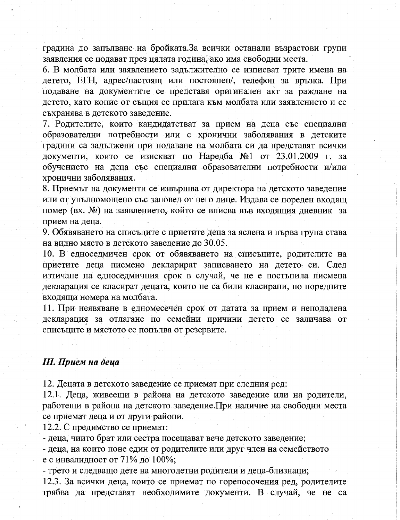градина до запълване на бройката. За всички останали възрастови групи заявления се подават през цялата година, ако има свободни места.

6. В молбата или заявлението задължително се изписват трите имена на детето, ЕГН, адрес/настоящ или постоянен/, телефон за връзка. При подаване на документите се представя оригинален акт за раждане на детето, като копие от същия се прилага към молбата или заявлението и се съхранява в детското заведение.

7. Родителите, които кандидатстват за прием на деца със специални образователни потребности или с хронични заболявания в детските градини са задължени при подаване на молбата си да представят всички документи, които се изискват по Наредба №1 от 23.01.2009 г. за обучението на деца със специални образователни потребности и/или хронични заболявания.

8. Приемът на документи се извършва от директора на детското заведение или от упълномощено със заповед от него лице. Издава се пореден входящ номер (вх. №) на заявлението, който се вписва във входящия дневник за прием на деца.

9. Обявяването на списъците с приетите деца за яслена и първа група става на видно място в детското заведение до 30.05.

10. В едноседмичен срок от обявяването на списъците, родителите на приетите деца писмено декларират записването на детето си. След изтичане на едноседмичния срок в случай, че не е постъпила писмена декларация се класират децата, които не са били класирани, по поредните входящи номера на молбата.

11. При неявяване в едномесечен срок от датата за прием и неподадена декларация за отлагане по семейни причини детето се заличава от списъците и мястото се попълва от резервите.

## **III.** Прием на деца

12. Децата в детското заведение се приемат при следния ред:

12.1. Деца, живеещи в района на детското заведение или на родители, работещи в района на детското заведение. При наличие на свободни места се приемат деца и от други райони.

12.2. С предимство се приемат:

- деца, чиито брат или сестра посещават вече детското заведение;

- деца, на които поне един от родителите или друг член на семейството е с инвалидност от 71% до 100%;

- трето и следващо дете на многодетни родители и деца-близнаци;

12.3. За всички деца, които се приемат по горепосочения ред, родителите трябва да представят необходимите документи. В случай, че не са